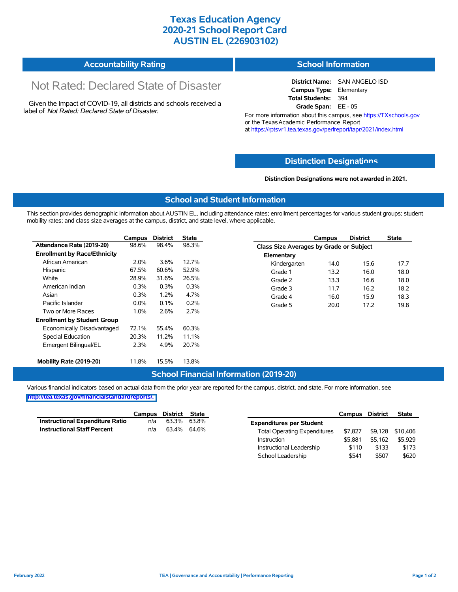## **Texas Education Agency 2020-21 School Report Card AUSTIN EL (226903102)**

| <b>Accountability Rating</b> | <b>School Information</b> |
|------------------------------|---------------------------|
|------------------------------|---------------------------|

# Not Rated: Declared State of Disaster

Given the Impact of COVID-19, all districts and schools received a label of *Not Rated: Declared State of Disaster.*

**District Name:** SAN ANGELO ISD **Campus Type:** Elementary **Total Students:** 394 **Grade Span:** EE - 05

For more information about this campus, see https://TXschools.gov or the Texas Academic Performance Report at https://rptsvr1.tea.texas.gov/perfreport/tapr/2021/index.html

#### **Distinction Designat[ions](https://TXschools.gov)**

**Distinction Designations were not awarded in 2021.**

Instructional Leadership  $$110$  \$133 \$173 School Leadership  $$541$  \$507 \$620

#### **School and Student Information**

This section provides demographic information about AUSTIN EL, including attendance rates; enrollment percentages for various student groups; student mobility rates; and class size averages at the campus, district, and state level, where applicable.

|                                     | Campus  | <b>District</b> | <b>State</b> |              | Campus                                  | <b>District</b> | <b>State</b> |  |  |
|-------------------------------------|---------|-----------------|--------------|--------------|-----------------------------------------|-----------------|--------------|--|--|
| Attendance Rate (2019-20)           | 98.6%   | 98.4%           | 98.3%        |              | Class Size Averages by Grade or Subject |                 |              |  |  |
| <b>Enrollment by Race/Ethnicity</b> |         |                 |              | Elementary   |                                         |                 |              |  |  |
| African American                    | 2.0%    | 3.6%            | 12.7%        | Kindergarten | 14.0                                    | 15.6            | 17.7         |  |  |
| Hispanic                            | 67.5%   | 60.6%           | 52.9%        | Grade 1      | 13.2                                    | 16.0            | 18.0         |  |  |
| White                               | 28.9%   | 31.6%           | 26.5%        | Grade 2      | 13.3                                    | 16.6            | 18.0         |  |  |
| American Indian                     | 0.3%    | 0.3%            | 0.3%         | Grade 3      | 11.7                                    | 16.2            | 18.2         |  |  |
| Asian                               | 0.3%    | 1.2%            | 4.7%         | Grade 4      | 16.0                                    | 15.9            | 18.3         |  |  |
| Pacific Islander                    | $0.0\%$ | 0.1%            | 0.2%         | Grade 5      | 20.0                                    | 17.2            | 19.8         |  |  |
| Two or More Races                   | 1.0%    | 2.6%            | 2.7%         |              |                                         |                 |              |  |  |
| <b>Enrollment by Student Group</b>  |         |                 |              |              |                                         |                 |              |  |  |
| Economically Disadvantaged          | 72.1%   | 55.4%           | 60.3%        |              |                                         |                 |              |  |  |
| Special Education                   | 20.3%   | 11.2%           | 11.1%        |              |                                         |                 |              |  |  |
| Emergent Bilingual/EL               | 2.3%    | 4.9%            | 20.7%        |              |                                         |                 |              |  |  |
|                                     |         |                 |              |              |                                         |                 |              |  |  |
| Mobility Rate (2019-20)             | 11.8%   | 15.5%           | 13.8%        |              |                                         |                 |              |  |  |

#### **School Financial Information (2019-20)**

Various financial indicators based on actual data from the prior year are reported for the campus, district, and state. For more information, see

**[http://tea.texas.gov/financialstandardreports/.](http://tea.texas.gov/financialstandardreports/)**

|                                        | Campus | District | State       |                                     | Campus  | <b>District</b> | <b>State</b>     |
|----------------------------------------|--------|----------|-------------|-------------------------------------|---------|-----------------|------------------|
| <b>Instructional Expenditure Ratio</b> | n/a    | 63.3%    | 63.8%       | <b>Expenditures per Student</b>     |         |                 |                  |
| <b>Instructional Staff Percent</b>     | n/a    |          | 63.4% 64.6% | <b>Total Operating Expenditures</b> | \$7.827 |                 | \$9,128 \$10,406 |
|                                        |        |          |             | Instruction                         | \$5.881 | \$5.162         | \$5.929          |